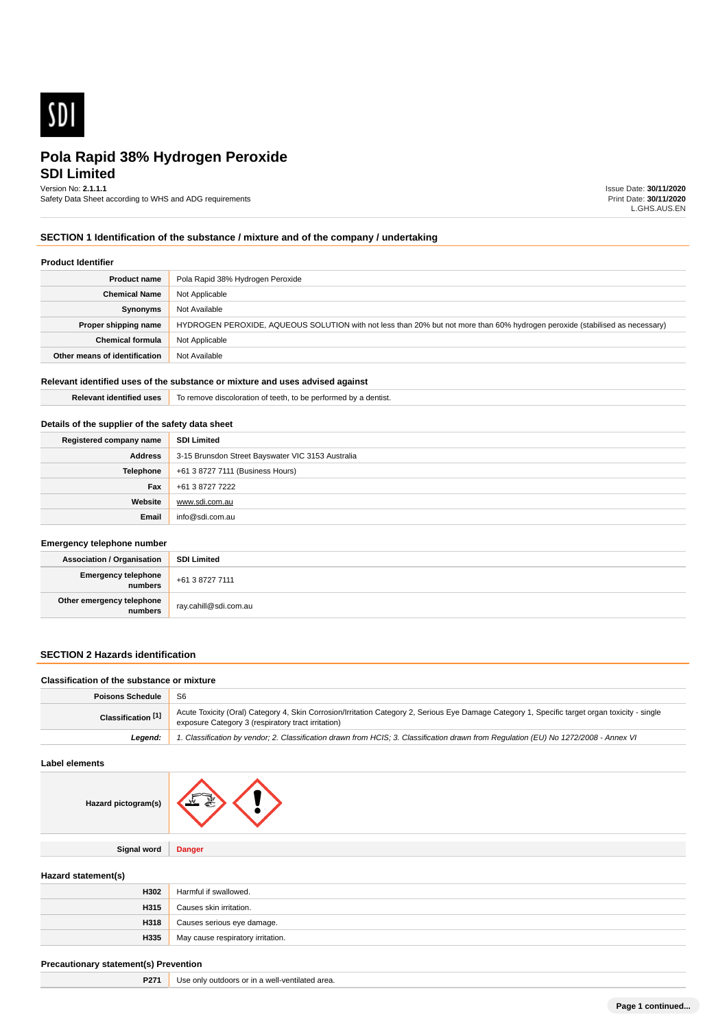

**SDI Limited**

Version No: **2.1.1.1**

Safety Data Sheet according to WHS and ADG requirements

Issue Date: **30/11/2020** Print Date: **30/11/2020** L.GHS.AUS.EN

### **SECTION 1 Identification of the substance / mixture and of the company / undertaking**

### **Product Identifier**

| <b>Product name</b>           | Pola Rapid 38% Hydrogen Peroxide                                                                                             |  |
|-------------------------------|------------------------------------------------------------------------------------------------------------------------------|--|
| <b>Chemical Name</b>          | Not Applicable                                                                                                               |  |
| Synonyms                      | Not Available                                                                                                                |  |
| Proper shipping name          | HYDROGEN PEROXIDE, AQUEOUS SOLUTION with not less than 20% but not more than 60% hydrogen peroxide (stabilised as necessary) |  |
| <b>Chemical formula</b>       | Not Applicable                                                                                                               |  |
| Other means of identification | Not Available                                                                                                                |  |

### **Relevant identified uses of the substance or mixture and uses advised against**

| <b>Releva</b><br><b>ICLE DESPITE</b><br> | dentist.<br>งIoratioi<br>) remov<br>teeth.<br>nv<br>n<br>י חופי<br>eno.<br>meo<br>. |  |
|------------------------------------------|-------------------------------------------------------------------------------------|--|
|                                          |                                                                                     |  |

### **Details of the supplier of the safety data sheet**

| Registered company name | <b>SDI Limited</b>                                |
|-------------------------|---------------------------------------------------|
| Address                 | 3-15 Brunsdon Street Bayswater VIC 3153 Australia |
| Telephone               | +61 3 8727 7111 (Business Hours)                  |
| Fax                     | +61 3 8727 7222                                   |
| Website                 | www.sdi.com.au                                    |
| Email                   | info@sdi.com.au                                   |

#### **Emergency telephone number**

| <b>Association / Organisation</b>     | SDI Limited           |
|---------------------------------------|-----------------------|
| <b>Emergency telephone</b><br>numbers | +61 3 8727 7111       |
| Other emergency telephone<br>numbers  | ray.cahill@sdi.com.au |

### **SECTION 2 Hazards identification**

#### **Classification of the substance or mixture**

| <b>Poisons Schedule</b>       | -S6                                                                                                                                                                                                  |
|-------------------------------|------------------------------------------------------------------------------------------------------------------------------------------------------------------------------------------------------|
| Classification <sup>[1]</sup> | Acute Toxicity (Oral) Category 4, Skin Corrosion/Irritation Category 2, Serious Eye Damage Category 1, Specific target organ toxicity - single<br>exposure Category 3 (respiratory tract irritation) |
| Leaend:                       | 1. Classification by vendor; 2. Classification drawn from HCIS; 3. Classification drawn from Requlation (EU) No 1272/2008 - Annex VI                                                                 |

#### **Label elements**

| Hazard pictogram(s) |               |
|---------------------|---------------|
| <b>Signal word</b>  | <b>Danger</b> |
|                     |               |

### **Hazard statement(s)**

| H302 | Harmful if swallowed.             |
|------|-----------------------------------|
| H315 | Causes skin irritation.           |
| H318 | Causes serious eye damage.        |
| H335 | May cause respiratory irritation. |

### **Precautionary statement(s) Prevention**

**P271** Use only outdoors or in a well-ventilated area.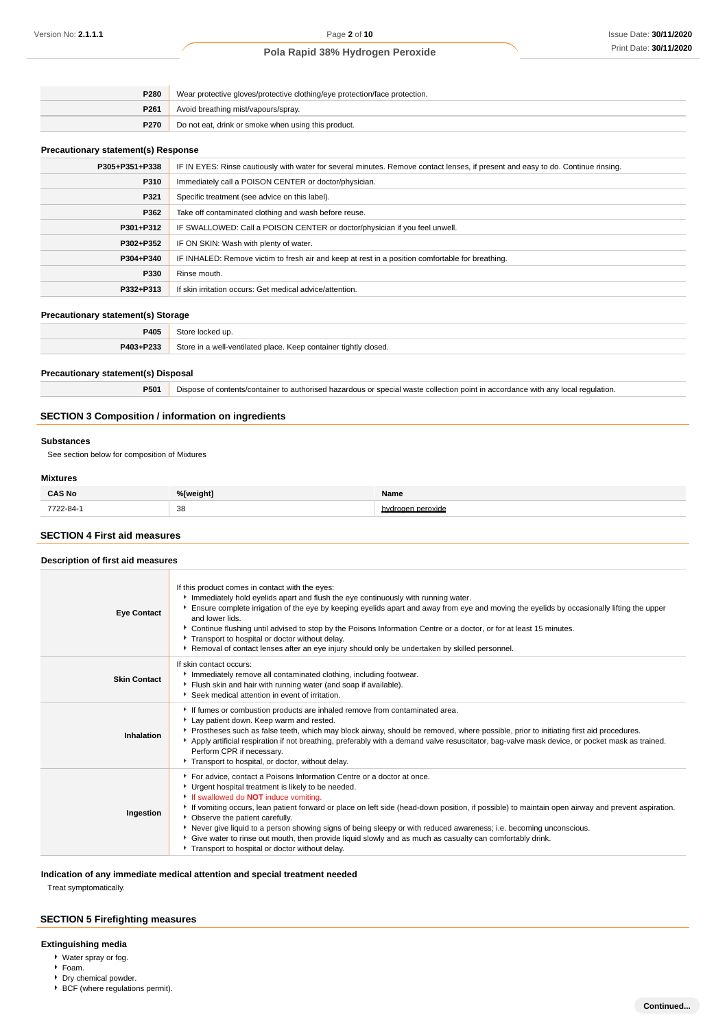| <b>P280</b>      | Wear protective gloves/protective clothing/eye protection/face protection. |  |
|------------------|----------------------------------------------------------------------------|--|
| P <sub>261</sub> | Avoid breathing mist/vapours/spray.                                        |  |
| <b>P270</b>      | Do not eat, drink or smoke when using this product.                        |  |

### **Precautionary statement(s) Response**

| P305+P351+P338 | IF IN EYES: Rinse cautiously with water for several minutes. Remove contact lenses, if present and easy to do. Continue rinsing. |
|----------------|----------------------------------------------------------------------------------------------------------------------------------|
| P310           | Immediately call a POISON CENTER or doctor/physician.                                                                            |
| P321           | Specific treatment (see advice on this label).                                                                                   |
| P362           | Take off contaminated clothing and wash before reuse.                                                                            |
| P301+P312      | IF SWALLOWED: Call a POISON CENTER or doctor/physician if you feel unwell.                                                       |
| P302+P352      | IF ON SKIN: Wash with plenty of water.                                                                                           |
| P304+P340      | IF INHALED: Remove victim to fresh air and keep at rest in a position comfortable for breathing.                                 |
| P330           | Rinse mouth.                                                                                                                     |
| P332+P313      | If skin irritation occurs: Get medical advice/attention.                                                                         |

### **Precautionary statement(s) Storage**

| P405      | uv                                                                  |
|-----------|---------------------------------------------------------------------|
| P403+P233 | Store in a well-ventilated place.<br>Keep container tightly closed. |

#### **Precautionary statement(s) Disposal**

**P501** Dispose of contents/container to authorised hazardous or special waste collection point in accordance with any local regulation.

### **SECTION 3 Composition / information on ingredients**

#### **Substances**

See section below for composition of Mixtures

### **Mixtures**

| <b>CAS No</b> | %[weight] | Name          |
|---------------|-----------|---------------|
| 7722-84-      | 38        | naen peroxide |

### **SECTION 4 First aid measures**

### **Description of first aid measures**

| <b>Eye Contact</b>  | If this product comes in contact with the eyes:<br>Immediately hold eyelids apart and flush the eye continuously with running water.<br>Ensure complete irrigation of the eye by keeping eyelids apart and away from eye and moving the eyelids by occasionally lifting the upper<br>and lower lids.<br>▶ Continue flushing until advised to stop by the Poisons Information Centre or a doctor, or for at least 15 minutes.<br>Transport to hospital or doctor without delay.<br>▶ Removal of contact lenses after an eye injury should only be undertaken by skilled personnel.                                                                      |  |
|---------------------|--------------------------------------------------------------------------------------------------------------------------------------------------------------------------------------------------------------------------------------------------------------------------------------------------------------------------------------------------------------------------------------------------------------------------------------------------------------------------------------------------------------------------------------------------------------------------------------------------------------------------------------------------------|--|
| <b>Skin Contact</b> | If skin contact occurs:<br>Immediately remove all contaminated clothing, including footwear.<br>Flush skin and hair with running water (and soap if available).<br>Seek medical attention in event of irritation.                                                                                                                                                                                                                                                                                                                                                                                                                                      |  |
| Inhalation          | If fumes or combustion products are inhaled remove from contaminated area.<br>Lay patient down. Keep warm and rested.<br>Prostheses such as false teeth, which may block airway, should be removed, where possible, prior to initiating first aid procedures.<br>Apply artificial respiration if not breathing, preferably with a demand valve resuscitator, bag-valve mask device, or pocket mask as trained.<br>Perform CPR if necessary.<br>Transport to hospital, or doctor, without delay.                                                                                                                                                        |  |
| Ingestion           | For advice, contact a Poisons Information Centre or a doctor at once.<br>Urgent hospital treatment is likely to be needed.<br>If swallowed do <b>NOT</b> induce vomiting.<br>If vomiting occurs, lean patient forward or place on left side (head-down position, if possible) to maintain open airway and prevent aspiration.<br>• Observe the patient carefully.<br>▶ Never give liquid to a person showing signs of being sleepy or with reduced awareness; i.e. becoming unconscious.<br>Give water to rinse out mouth, then provide liquid slowly and as much as casualty can comfortably drink.<br>Transport to hospital or doctor without delay. |  |

### **Indication of any immediate medical attention and special treatment needed**

Treat symptomatically.

# **SECTION 5 Firefighting measures**

### **Extinguishing media**

- Water spray or fog.
- Foam.
- Dry chemical powder. BCF (where regulations permit).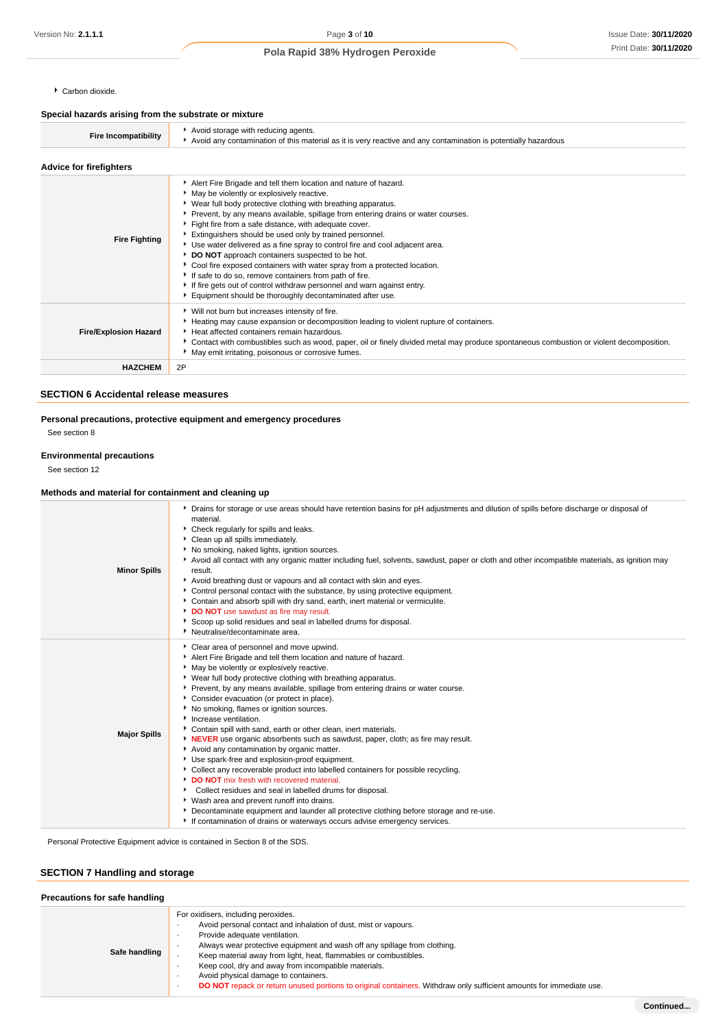Carbon dioxide.

### **Special hazards arising from the substrate or mixture**

| opoolar nazaras ansing nom mo substrato or imxturo |                                                                                                                                                                                                                                                                                                                                                                                                                                                                                                                                                                                                                                                                                                                                                                                                        |
|----------------------------------------------------|--------------------------------------------------------------------------------------------------------------------------------------------------------------------------------------------------------------------------------------------------------------------------------------------------------------------------------------------------------------------------------------------------------------------------------------------------------------------------------------------------------------------------------------------------------------------------------------------------------------------------------------------------------------------------------------------------------------------------------------------------------------------------------------------------------|
| <b>Fire Incompatibility</b>                        | Avoid storage with reducing agents.<br>Avoid any contamination of this material as it is very reactive and any contamination is potentially hazardous                                                                                                                                                                                                                                                                                                                                                                                                                                                                                                                                                                                                                                                  |
| <b>Advice for firefighters</b>                     |                                                                                                                                                                                                                                                                                                                                                                                                                                                                                                                                                                                                                                                                                                                                                                                                        |
| <b>Fire Fighting</b>                               | Alert Fire Brigade and tell them location and nature of hazard.<br>May be violently or explosively reactive.<br>▶ Wear full body protective clothing with breathing apparatus.<br>▶ Prevent, by any means available, spillage from entering drains or water courses.<br>Fight fire from a safe distance, with adequate cover.<br>Extinguishers should be used only by trained personnel.<br>Use water delivered as a fine spray to control fire and cool adjacent area.<br>DO NOT approach containers suspected to be hot.<br>Cool fire exposed containers with water spray from a protected location.<br>If safe to do so, remove containers from path of fire.<br>If fire gets out of control withdraw personnel and warn against entry.<br>Equipment should be thoroughly decontaminated after use. |
| <b>Fire/Explosion Hazard</b>                       | ▶ Will not burn but increases intensity of fire.<br>Heating may cause expansion or decomposition leading to violent rupture of containers.<br>Heat affected containers remain hazardous.<br>▶ Contact with combustibles such as wood, paper, oil or finely divided metal may produce spontaneous combustion or violent decomposition.<br>May emit irritating, poisonous or corrosive fumes.                                                                                                                                                                                                                                                                                                                                                                                                            |
| <b>HAZCHEM</b>                                     | 2P                                                                                                                                                                                                                                                                                                                                                                                                                                                                                                                                                                                                                                                                                                                                                                                                     |

### **SECTION 6 Accidental release measures**

# **Personal precautions, protective equipment and emergency procedures**

See section 8

### **Environmental precautions**

See section 12

### **Methods and material for containment and cleaning up**

| <b>Minor Spills</b> | • Drains for storage or use areas should have retention basins for pH adjustments and dilution of spills before discharge or disposal of<br>material.<br>Check regularly for spills and leaks.<br>Clean up all spills immediately.<br>No smoking, naked lights, ignition sources.<br>Avoid all contact with any organic matter including fuel, solvents, sawdust, paper or cloth and other incompatible materials, as ignition may<br>result.<br>Avoid breathing dust or vapours and all contact with skin and eyes.<br>Control personal contact with the substance, by using protective equipment.<br>Contain and absorb spill with dry sand, earth, inert material or vermiculite.<br>DO NOT use sawdust as fire may result.<br>Scoop up solid residues and seal in labelled drums for disposal.<br>▶ Neutralise/decontaminate area.                                                                                                                                                                                                                                                                         |
|---------------------|----------------------------------------------------------------------------------------------------------------------------------------------------------------------------------------------------------------------------------------------------------------------------------------------------------------------------------------------------------------------------------------------------------------------------------------------------------------------------------------------------------------------------------------------------------------------------------------------------------------------------------------------------------------------------------------------------------------------------------------------------------------------------------------------------------------------------------------------------------------------------------------------------------------------------------------------------------------------------------------------------------------------------------------------------------------------------------------------------------------|
| <b>Major Spills</b> | Clear area of personnel and move upwind.<br>Alert Fire Brigade and tell them location and nature of hazard.<br>• May be violently or explosively reactive.<br>• Wear full body protective clothing with breathing apparatus.<br>Prevent, by any means available, spillage from entering drains or water course.<br>Consider evacuation (or protect in place).<br>▶ No smoking, flames or ignition sources.<br>Increase ventilation.<br>Contain spill with sand, earth or other clean, inert materials.<br>NEVER use organic absorbents such as sawdust, paper, cloth; as fire may result.<br>Avoid any contamination by organic matter.<br>Use spark-free and explosion-proof equipment.<br>• Collect any recoverable product into labelled containers for possible recycling.<br>DO NOT mix fresh with recovered material.<br>Collect residues and seal in labelled drums for disposal.<br>▶ Wash area and prevent runoff into drains.<br>Decontaminate equipment and launder all protective clothing before storage and re-use.<br>If contamination of drains or waterways occurs advise emergency services. |

Personal Protective Equipment advice is contained in Section 8 of the SDS.

### **SECTION 7 Handling and storage**

| Precautions for safe handling |                                                                                                                                                                                                                                                                                                                                                                                                                                                                                                                 |
|-------------------------------|-----------------------------------------------------------------------------------------------------------------------------------------------------------------------------------------------------------------------------------------------------------------------------------------------------------------------------------------------------------------------------------------------------------------------------------------------------------------------------------------------------------------|
| Safe handling                 | For oxidisers, including peroxides.<br>Avoid personal contact and inhalation of dust, mist or vapours.<br>Provide adequate ventilation.<br>Always wear protective equipment and wash off any spillage from clothing.<br>Keep material away from light, heat, flammables or combustibles.<br>Keep cool, dry and away from incompatible materials.<br>Avoid physical damage to containers.<br>DO NOT repack or return unused portions to original containers. Withdraw only sufficient amounts for immediate use. |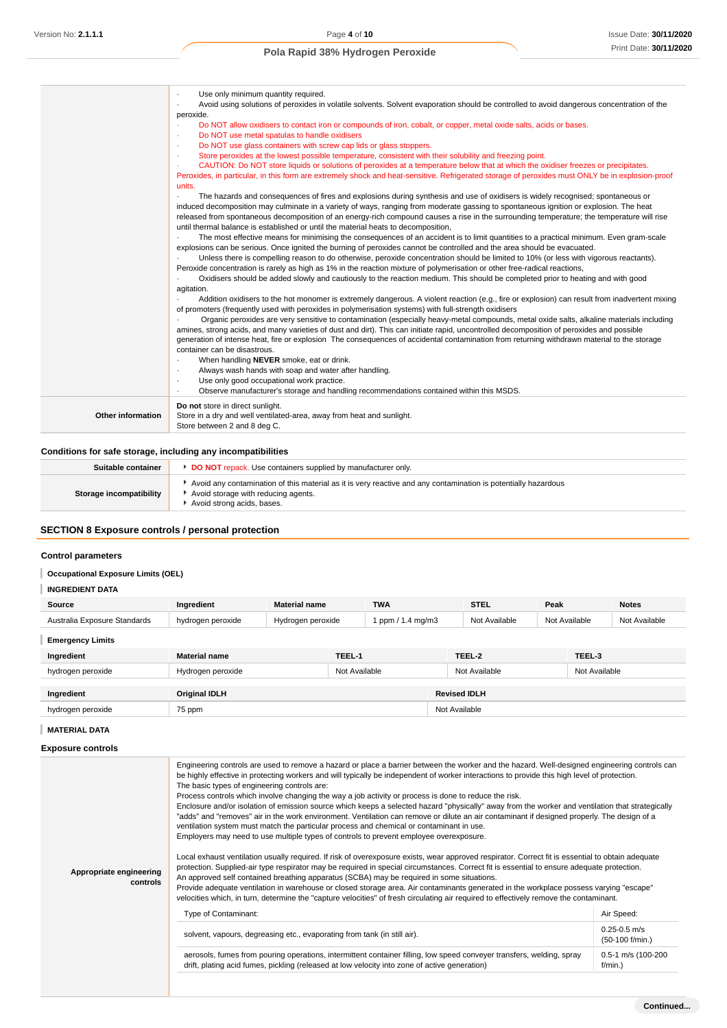|                          | Use only minimum quantity required.<br>$\cdot$<br>Avoid using solutions of peroxides in volatile solvents. Solvent evaporation should be controlled to avoid dangerous concentration of the<br>٠<br>peroxide.<br>Do NOT allow oxidisers to contact iron or compounds of iron, cobalt, or copper, metal oxide salts, acids or bases.<br>٠<br>Do NOT use metal spatulas to handle oxidisers<br>×<br>Do NOT use glass containers with screw cap lids or glass stoppers.<br>$\sim$<br>Store peroxides at the lowest possible temperature, consistent with their solubility and freezing point.<br>×<br>CAUTION: Do NOT store liquids or solutions of peroxides at a temperature below that at which the oxidiser freezes or precipitates.<br>×<br>Peroxides, in particular, in this form are extremely shock and heat-sensitive. Refrigerated storage of peroxides must ONLY be in explosion-proof<br>units.<br>The hazards and consequences of fires and explosions during synthesis and use of oxidisers is widely recognised; spontaneous or<br>induced decomposition may culminate in a variety of ways, ranging from moderate gassing to spontaneous ignition or explosion. The heat<br>released from spontaneous decomposition of an energy-rich compound causes a rise in the surrounding temperature; the temperature will rise<br>until thermal balance is established or until the material heats to decomposition,<br>The most effective means for minimising the consequences of an accident is to limit quantities to a practical minimum. Even gram-scale<br>explosions can be serious. Once ignited the burning of peroxides cannot be controlled and the area should be evacuated.<br>Unless there is compelling reason to do otherwise, peroxide concentration should be limited to 10% (or less with vigorous reactants).<br>Peroxide concentration is rarely as high as 1% in the reaction mixture of polymerisation or other free-radical reactions,<br>Oxidisers should be added slowly and cautiously to the reaction medium. This should be completed prior to heating and with good<br>$\cdot$<br>agitation.<br>Addition oxidisers to the hot monomer is extremely dangerous. A violent reaction (e.g., fire or explosion) can result from inadvertent mixing<br>of promoters (frequently used with peroxides in polymerisation systems) with full-strength oxidisers<br>Organic peroxides are very sensitive to contamination (especially heavy-metal compounds, metal oxide salts, alkaline materials including<br>amines, strong acids, and many varieties of dust and dirt). This can initiate rapid, uncontrolled decomposition of peroxides and possible<br>generation of intense heat, fire or explosion The consequences of accidental contamination from returning withdrawn material to the storage<br>container can be disastrous.<br>When handling NEVER smoke, eat or drink.<br>٠<br>Always wash hands with soap and water after handling.<br>٠<br>Use only good occupational work practice.<br>$\cdot$ |
|--------------------------|------------------------------------------------------------------------------------------------------------------------------------------------------------------------------------------------------------------------------------------------------------------------------------------------------------------------------------------------------------------------------------------------------------------------------------------------------------------------------------------------------------------------------------------------------------------------------------------------------------------------------------------------------------------------------------------------------------------------------------------------------------------------------------------------------------------------------------------------------------------------------------------------------------------------------------------------------------------------------------------------------------------------------------------------------------------------------------------------------------------------------------------------------------------------------------------------------------------------------------------------------------------------------------------------------------------------------------------------------------------------------------------------------------------------------------------------------------------------------------------------------------------------------------------------------------------------------------------------------------------------------------------------------------------------------------------------------------------------------------------------------------------------------------------------------------------------------------------------------------------------------------------------------------------------------------------------------------------------------------------------------------------------------------------------------------------------------------------------------------------------------------------------------------------------------------------------------------------------------------------------------------------------------------------------------------------------------------------------------------------------------------------------------------------------------------------------------------------------------------------------------------------------------------------------------------------------------------------------------------------------------------------------------------------------------------------------------------------------------------------------------------------------------------------------------------------------------------------------------------------------------------------------------------------------------------------------------------------------------------------------------------------------------------------|
| <b>Other information</b> | Observe manufacturer's storage and handling recommendations contained within this MSDS.<br>٠<br>Do not store in direct sunlight.<br>Store in a dry and well ventilated-area, away from heat and sunlight.<br>Store between 2 and 8 deg C.                                                                                                                                                                                                                                                                                                                                                                                                                                                                                                                                                                                                                                                                                                                                                                                                                                                                                                                                                                                                                                                                                                                                                                                                                                                                                                                                                                                                                                                                                                                                                                                                                                                                                                                                                                                                                                                                                                                                                                                                                                                                                                                                                                                                                                                                                                                                                                                                                                                                                                                                                                                                                                                                                                                                                                                                |

### **Conditions for safe storage, including any incompatibilities**

| Suitable container      | <b>DO NOT</b> repack. Use containers supplied by manufacturer only.                                                                                                                 |
|-------------------------|-------------------------------------------------------------------------------------------------------------------------------------------------------------------------------------|
| Storage incompatibility | Avoid any contamination of this material as it is very reactive and any contamination is potentially hazardous<br>Avoid storage with reducing agents.<br>Avoid strong acids, bases. |

# **SECTION 8 Exposure controls / personal protection**

### **Control parameters**

# **Occupational Exposure Limits (OEL)**

# **INGREDIENT DATA**

| Source                       | Ingredient        | <b>Material name</b> | <b>TWA</b>        | <b>STEL</b>   | Peak          | <b>Notes</b>  |
|------------------------------|-------------------|----------------------|-------------------|---------------|---------------|---------------|
| Australia Exposure Standards | hvdrogen peroxide | Hvdrogen peroxide    | 1 ppm / 1.4 ma/m3 | Not Available | Not Available | Not Available |

## **Emergency Limits**

| Ingredient        | <b>Material name</b> | TEEL-1        | TEEL-2              | TEEL-3        |
|-------------------|----------------------|---------------|---------------------|---------------|
| hydrogen peroxide | Hydrogen peroxide    | Not Available | Not Available       | Not Available |
| Ingredient        | <b>Original IDLH</b> |               | <b>Revised IDLH</b> |               |
| hydrogen peroxide | 75 ppm               |               | Not Available       |               |

### **MATERIAL DATA**

| <b>Exposure controls</b> |  |
|--------------------------|--|
|--------------------------|--|

| Appropriate engineering<br>controls | Engineering controls are used to remove a hazard or place a barrier between the worker and the hazard. Well-designed engineering controls can<br>be highly effective in protecting workers and will typically be independent of worker interactions to provide this high level of protection.<br>The basic types of engineering controls are:<br>Process controls which involve changing the way a job activity or process is done to reduce the risk.<br>Enclosure and/or isolation of emission source which keeps a selected hazard "physically" away from the worker and ventilation that strategically<br>"adds" and "removes" air in the work environment. Ventilation can remove or dilute an air contaminant if designed properly. The design of a<br>ventilation system must match the particular process and chemical or contaminant in use.<br>Employers may need to use multiple types of controls to prevent employee overexposure.<br>Local exhaust ventilation usually required. If risk of overexposure exists, wear approved respirator. Correct fit is essential to obtain adequate<br>protection. Supplied-air type respirator may be required in special circumstances. Correct fit is essential to ensure adequate protection.<br>An approved self contained breathing apparatus (SCBA) may be required in some situations.<br>Provide adequate ventilation in warehouse or closed storage area. Air contaminants generated in the workplace possess varying "escape" |                                     |  |  |
|-------------------------------------|-------------------------------------------------------------------------------------------------------------------------------------------------------------------------------------------------------------------------------------------------------------------------------------------------------------------------------------------------------------------------------------------------------------------------------------------------------------------------------------------------------------------------------------------------------------------------------------------------------------------------------------------------------------------------------------------------------------------------------------------------------------------------------------------------------------------------------------------------------------------------------------------------------------------------------------------------------------------------------------------------------------------------------------------------------------------------------------------------------------------------------------------------------------------------------------------------------------------------------------------------------------------------------------------------------------------------------------------------------------------------------------------------------------------------------------------------------------------------------------------|-------------------------------------|--|--|
|                                     | velocities which, in turn, determine the "capture velocities" of fresh circulating air required to effectively remove the contaminant.<br>Type of Contaminant:                                                                                                                                                                                                                                                                                                                                                                                                                                                                                                                                                                                                                                                                                                                                                                                                                                                                                                                                                                                                                                                                                                                                                                                                                                                                                                                            | Air Speed:                          |  |  |
|                                     | solvent, vapours, degreasing etc., evaporating from tank (in still air).                                                                                                                                                                                                                                                                                                                                                                                                                                                                                                                                                                                                                                                                                                                                                                                                                                                                                                                                                                                                                                                                                                                                                                                                                                                                                                                                                                                                                  | $0.25 - 0.5$ m/s<br>(50-100 f/min.) |  |  |
|                                     | aerosols, fumes from pouring operations, intermittent container filling, low speed conveyer transfers, welding, spray<br>drift, plating acid fumes, pickling (released at low velocity into zone of active generation)                                                                                                                                                                                                                                                                                                                                                                                                                                                                                                                                                                                                                                                                                                                                                                                                                                                                                                                                                                                                                                                                                                                                                                                                                                                                    | 0.5-1 m/s (100-200<br>$f/min.$ )    |  |  |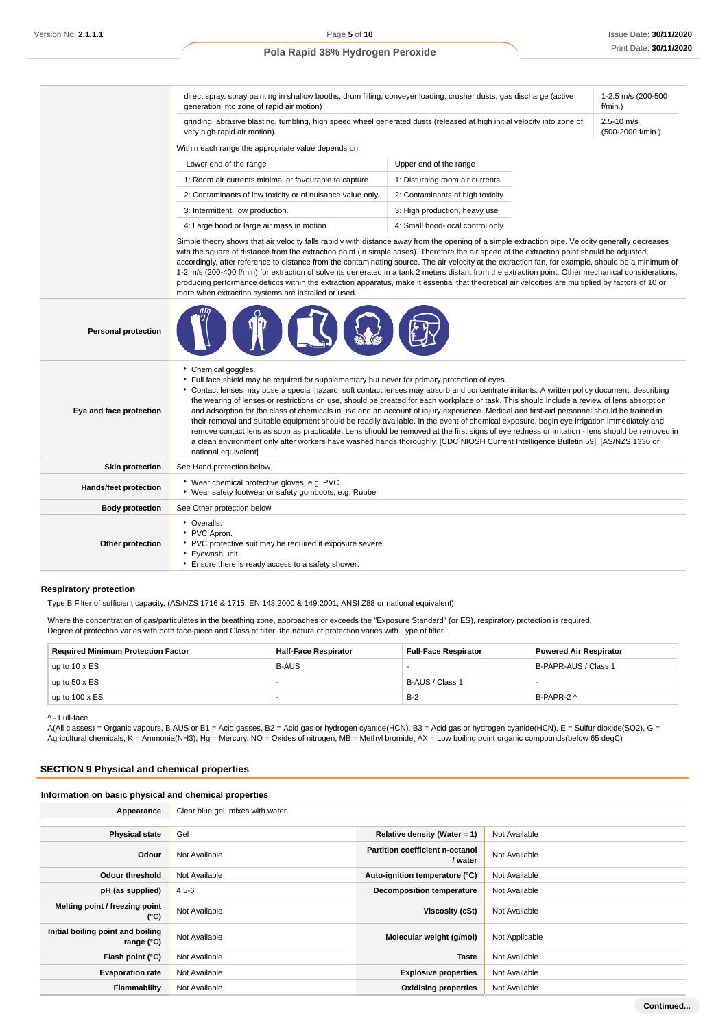**Continued...**

### **Pola Rapid 38% Hydrogen Peroxide**

|                            | direct spray, spray painting in shallow booths, drum filling, conveyer loading, crusher dusts, gas discharge (active<br>generation into zone of rapid air motion)                                                                                                                                                                                                                                                                                                                                                                                                                                                                                                                                                                                                                                                              | 1-2.5 m/s (200-500<br>$f/min.$ )                                                                                                                                                                                                                                                                                                                                                                                                                                                                                                                                                                                                                                                                                                                                                                                                                                            |  |  |  |
|----------------------------|--------------------------------------------------------------------------------------------------------------------------------------------------------------------------------------------------------------------------------------------------------------------------------------------------------------------------------------------------------------------------------------------------------------------------------------------------------------------------------------------------------------------------------------------------------------------------------------------------------------------------------------------------------------------------------------------------------------------------------------------------------------------------------------------------------------------------------|-----------------------------------------------------------------------------------------------------------------------------------------------------------------------------------------------------------------------------------------------------------------------------------------------------------------------------------------------------------------------------------------------------------------------------------------------------------------------------------------------------------------------------------------------------------------------------------------------------------------------------------------------------------------------------------------------------------------------------------------------------------------------------------------------------------------------------------------------------------------------------|--|--|--|
|                            | grinding, abrasive blasting, tumbling, high speed wheel generated dusts (released at high initial velocity into zone of<br>very high rapid air motion).                                                                                                                                                                                                                                                                                                                                                                                                                                                                                                                                                                                                                                                                        | $2.5 - 10$ m/s<br>(500-2000 f/min.)                                                                                                                                                                                                                                                                                                                                                                                                                                                                                                                                                                                                                                                                                                                                                                                                                                         |  |  |  |
|                            | Within each range the appropriate value depends on:                                                                                                                                                                                                                                                                                                                                                                                                                                                                                                                                                                                                                                                                                                                                                                            |                                                                                                                                                                                                                                                                                                                                                                                                                                                                                                                                                                                                                                                                                                                                                                                                                                                                             |  |  |  |
|                            | Lower end of the range                                                                                                                                                                                                                                                                                                                                                                                                                                                                                                                                                                                                                                                                                                                                                                                                         |                                                                                                                                                                                                                                                                                                                                                                                                                                                                                                                                                                                                                                                                                                                                                                                                                                                                             |  |  |  |
|                            | 1: Room air currents minimal or favourable to capture<br>1: Disturbing room air currents                                                                                                                                                                                                                                                                                                                                                                                                                                                                                                                                                                                                                                                                                                                                       |                                                                                                                                                                                                                                                                                                                                                                                                                                                                                                                                                                                                                                                                                                                                                                                                                                                                             |  |  |  |
|                            | 2: Contaminants of low toxicity or of nuisance value only.<br>2: Contaminants of high toxicity                                                                                                                                                                                                                                                                                                                                                                                                                                                                                                                                                                                                                                                                                                                                 |                                                                                                                                                                                                                                                                                                                                                                                                                                                                                                                                                                                                                                                                                                                                                                                                                                                                             |  |  |  |
|                            | 3: Intermittent, low production.                                                                                                                                                                                                                                                                                                                                                                                                                                                                                                                                                                                                                                                                                                                                                                                               |                                                                                                                                                                                                                                                                                                                                                                                                                                                                                                                                                                                                                                                                                                                                                                                                                                                                             |  |  |  |
|                            | 4: Large hood or large air mass in motion                                                                                                                                                                                                                                                                                                                                                                                                                                                                                                                                                                                                                                                                                                                                                                                      | 4: Small hood-local control only                                                                                                                                                                                                                                                                                                                                                                                                                                                                                                                                                                                                                                                                                                                                                                                                                                            |  |  |  |
|                            | Simple theory shows that air velocity falls rapidly with distance away from the opening of a simple extraction pipe. Velocity generally decreases<br>with the square of distance from the extraction point (in simple cases). Therefore the air speed at the extraction point should be adjusted,<br>accordingly, after reference to distance from the contaminating source. The air velocity at the extraction fan, for example, should be a minimum of<br>1-2 m/s (200-400 f/min) for extraction of solvents generated in a tank 2 meters distant from the extraction point. Other mechanical considerations,<br>producing performance deficits within the extraction apparatus, make it essential that theoretical air velocities are multiplied by factors of 10 or<br>more when extraction systems are installed or used. |                                                                                                                                                                                                                                                                                                                                                                                                                                                                                                                                                                                                                                                                                                                                                                                                                                                                             |  |  |  |
| <b>Personal protection</b> |                                                                                                                                                                                                                                                                                                                                                                                                                                                                                                                                                                                                                                                                                                                                                                                                                                |                                                                                                                                                                                                                                                                                                                                                                                                                                                                                                                                                                                                                                                                                                                                                                                                                                                                             |  |  |  |
| Eye and face protection    | Chemical goggles.<br>Full face shield may be required for supplementary but never for primary protection of eyes.<br>national equivalent]                                                                                                                                                                                                                                                                                                                                                                                                                                                                                                                                                                                                                                                                                      | Contact lenses may pose a special hazard; soft contact lenses may absorb and concentrate irritants. A written policy document, describing<br>the wearing of lenses or restrictions on use, should be created for each workplace or task. This should include a review of lens absorption<br>and adsorption for the class of chemicals in use and an account of injury experience. Medical and first-aid personnel should be trained in<br>their removal and suitable equipment should be readily available. In the event of chemical exposure, begin eye irrigation immediately and<br>remove contact lens as soon as practicable. Lens should be removed at the first signs of eye redness or irritation - lens should be removed in<br>a clean environment only after workers have washed hands thoroughly. [CDC NIOSH Current Intelligence Bulletin 59], [AS/NZS 1336 or |  |  |  |
| <b>Skin protection</b>     | See Hand protection below                                                                                                                                                                                                                                                                                                                                                                                                                                                                                                                                                                                                                                                                                                                                                                                                      |                                                                                                                                                                                                                                                                                                                                                                                                                                                                                                                                                                                                                                                                                                                                                                                                                                                                             |  |  |  |
| Hands/feet protection      | ▶ Wear chemical protective gloves, e.g. PVC.<br>• Wear safety footwear or safety gumboots, e.g. Rubber                                                                                                                                                                                                                                                                                                                                                                                                                                                                                                                                                                                                                                                                                                                         |                                                                                                                                                                                                                                                                                                                                                                                                                                                                                                                                                                                                                                                                                                                                                                                                                                                                             |  |  |  |
| <b>Body protection</b>     | See Other protection below                                                                                                                                                                                                                                                                                                                                                                                                                                                                                                                                                                                                                                                                                                                                                                                                     |                                                                                                                                                                                                                                                                                                                                                                                                                                                                                                                                                                                                                                                                                                                                                                                                                                                                             |  |  |  |
| Other protection           | • Overalls.<br>PVC Apron.<br>PVC protective suit may be required if exposure severe.<br>Evewash unit.<br>Ensure there is ready access to a safety shower.                                                                                                                                                                                                                                                                                                                                                                                                                                                                                                                                                                                                                                                                      |                                                                                                                                                                                                                                                                                                                                                                                                                                                                                                                                                                                                                                                                                                                                                                                                                                                                             |  |  |  |

### **Respiratory protection**

Type B Filter of sufficient capacity. (AS/NZS 1716 & 1715, EN 143:2000 & 149:2001, ANSI Z88 or national equivalent)

Where the concentration of gas/particulates in the breathing zone, approaches or exceeds the "Exposure Standard" (or ES), respiratory protection is required. Degree of protection varies with both face-piece and Class of filter; the nature of protection varies with Type of filter.

| <b>Required Minimum Protection Factor</b> | <b>Half-Face Respirator</b> | Full-Face Respirator | <b>Powered Air Respirator</b> |
|-------------------------------------------|-----------------------------|----------------------|-------------------------------|
| up to $10 \times ES$                      | <b>B-AUS</b>                |                      | B-PAPR-AUS / Class 1          |
| up to $50 \times ES$                      |                             | B-AUS / Class 1      |                               |
| up to $100 \times ES$                     |                             | $B-2$                | B-PAPR-2 ^                    |

^ - Full-face

A(All classes) = Organic vapours, B AUS or B1 = Acid gasses, B2 = Acid gas or hydrogen cyanide(HCN), B3 = Acid gas or hydrogen cyanide(HCN), E = Sulfur dioxide(SO2), G = Agricultural chemicals, K = Ammonia(NH3), Hg = Mercury, NO = Oxides of nitrogen, MB = Methyl bromide, AX = Low boiling point organic compounds(below 65 degC)

# **SECTION 9 Physical and chemical properties**

### **Information on basic physical and chemical properties**

| Appearance                                        | Clear blue gel, mixes with water. |                                            |                |  |  |
|---------------------------------------------------|-----------------------------------|--------------------------------------------|----------------|--|--|
|                                                   |                                   |                                            |                |  |  |
| <b>Physical state</b>                             | Gel                               | Relative density (Water = $1$ )            | Not Available  |  |  |
| Odour                                             | Not Available                     | Partition coefficient n-octanol<br>/ water | Not Available  |  |  |
| Odour threshold                                   | Not Available                     | Auto-ignition temperature (°C)             | Not Available  |  |  |
| pH (as supplied)                                  | $4.5 - 6$                         | <b>Decomposition temperature</b>           | Not Available  |  |  |
| Melting point / freezing point<br>(°C)            | Not Available                     | Viscosity (cSt)                            | Not Available  |  |  |
| Initial boiling point and boiling<br>range $(°C)$ | Not Available                     | Molecular weight (g/mol)                   | Not Applicable |  |  |
| Flash point (°C)                                  | Not Available                     | <b>Taste</b>                               | Not Available  |  |  |
| <b>Evaporation rate</b>                           | Not Available                     | <b>Explosive properties</b>                | Not Available  |  |  |
| Flammability                                      | Not Available                     | <b>Oxidising properties</b>                | Not Available  |  |  |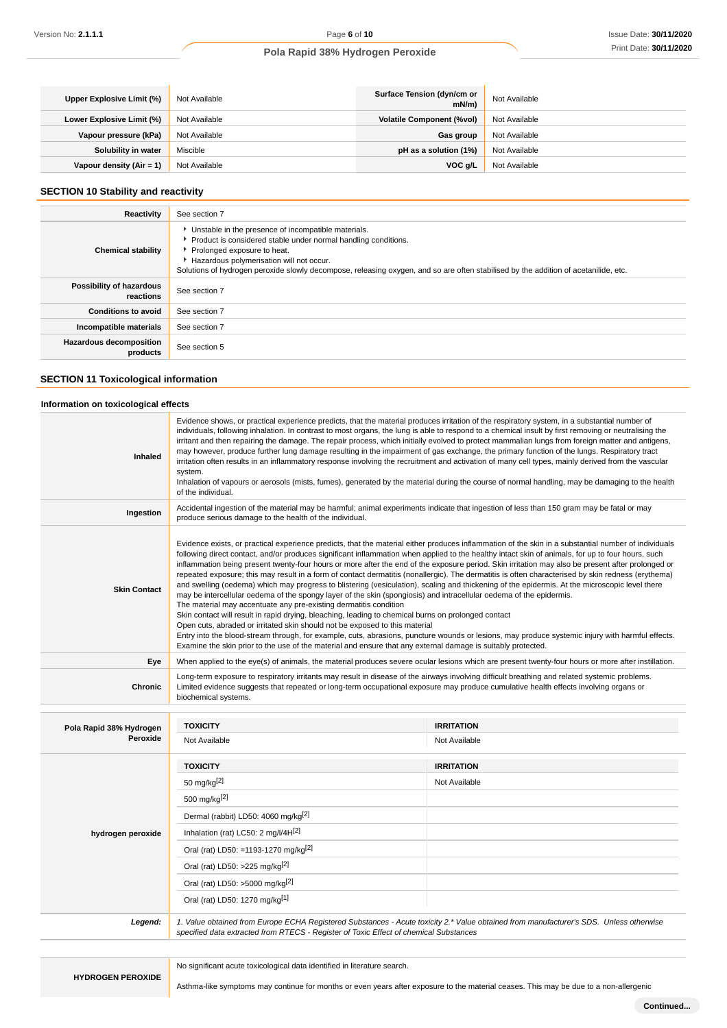| Upper Explosive Limit (%) | Not Available | Surface Tension (dyn/cm or<br>mN/m | Not Available |
|---------------------------|---------------|------------------------------------|---------------|
| Lower Explosive Limit (%) | Not Available | <b>Volatile Component (%vol)</b>   | Not Available |
| Vapour pressure (kPa)     | Not Available | Gas group                          | Not Available |
| Solubility in water       | Miscible      | pH as a solution (1%)              | Not Available |
| Vapour density (Air = 1)  | Not Available | VOC g/L                            | Not Available |

### **SECTION 10 Stability and reactivity**

| Reactivity                            | See section 7                                                                                                                                                                                                                                                                                                                             |
|---------------------------------------|-------------------------------------------------------------------------------------------------------------------------------------------------------------------------------------------------------------------------------------------------------------------------------------------------------------------------------------------|
| <b>Chemical stability</b>             | • Unstable in the presence of incompatible materials.<br>Product is considered stable under normal handling conditions.<br>Prolonged exposure to heat.<br>Hazardous polymerisation will not occur.<br>Solutions of hydrogen peroxide slowly decompose, releasing oxygen, and so are often stabilised by the addition of acetanilide, etc. |
| Possibility of hazardous<br>reactions | See section 7                                                                                                                                                                                                                                                                                                                             |
| <b>Conditions to avoid</b>            | See section 7                                                                                                                                                                                                                                                                                                                             |
| Incompatible materials                | See section 7                                                                                                                                                                                                                                                                                                                             |
| Hazardous decomposition<br>products   | See section 5                                                                                                                                                                                                                                                                                                                             |
|                                       |                                                                                                                                                                                                                                                                                                                                           |

# **SECTION 11 Toxicological information**

### **Information on toxicological effects**

| Inhaled                 | Evidence shows, or practical experience predicts, that the material produces irritation of the respiratory system, in a substantial number of<br>individuals, following inhalation. In contrast to most organs, the lung is able to respond to a chemical insult by first removing or neutralising the<br>irritant and then repairing the damage. The repair process, which initially evolved to protect mammalian lungs from foreign matter and antigens,<br>may however, produce further lung damage resulting in the impairment of gas exchange, the primary function of the lungs. Respiratory tract<br>irritation often results in an inflammatory response involving the recruitment and activation of many cell types, mainly derived from the vascular<br>system.<br>Inhalation of vapours or aerosols (mists, fumes), generated by the material during the course of normal handling, may be damaging to the health<br>of the individual.                                                                                                                                                                                                                                                                                                                                                                                                                                                                           |                                                                                                                                                    |  |
|-------------------------|------------------------------------------------------------------------------------------------------------------------------------------------------------------------------------------------------------------------------------------------------------------------------------------------------------------------------------------------------------------------------------------------------------------------------------------------------------------------------------------------------------------------------------------------------------------------------------------------------------------------------------------------------------------------------------------------------------------------------------------------------------------------------------------------------------------------------------------------------------------------------------------------------------------------------------------------------------------------------------------------------------------------------------------------------------------------------------------------------------------------------------------------------------------------------------------------------------------------------------------------------------------------------------------------------------------------------------------------------------------------------------------------------------------------------|----------------------------------------------------------------------------------------------------------------------------------------------------|--|
| Ingestion               | produce serious damage to the health of the individual.                                                                                                                                                                                                                                                                                                                                                                                                                                                                                                                                                                                                                                                                                                                                                                                                                                                                                                                                                                                                                                                                                                                                                                                                                                                                                                                                                                      | Accidental ingestion of the material may be harmful; animal experiments indicate that ingestion of less than 150 gram may be fatal or may          |  |
| <b>Skin Contact</b>     | Evidence exists, or practical experience predicts, that the material either produces inflammation of the skin in a substantial number of individuals<br>following direct contact, and/or produces significant inflammation when applied to the healthy intact skin of animals, for up to four hours, such<br>inflammation being present twenty-four hours or more after the end of the exposure period. Skin irritation may also be present after prolonged or<br>repeated exposure; this may result in a form of contact dermatitis (nonallergic). The dermatitis is often characterised by skin redness (erythema)<br>and swelling (oedema) which may progress to blistering (vesiculation), scaling and thickening of the epidermis. At the microscopic level there<br>may be intercellular oedema of the spongy layer of the skin (spongiosis) and intracellular oedema of the epidermis.<br>The material may accentuate any pre-existing dermatitis condition<br>Skin contact will result in rapid drying, bleaching, leading to chemical burns on prolonged contact<br>Open cuts, abraded or irritated skin should not be exposed to this material<br>Entry into the blood-stream through, for example, cuts, abrasions, puncture wounds or lesions, may produce systemic injury with harmful effects.<br>Examine the skin prior to the use of the material and ensure that any external damage is suitably protected. |                                                                                                                                                    |  |
| Eye                     |                                                                                                                                                                                                                                                                                                                                                                                                                                                                                                                                                                                                                                                                                                                                                                                                                                                                                                                                                                                                                                                                                                                                                                                                                                                                                                                                                                                                                              | When applied to the eye(s) of animals, the material produces severe ocular lesions which are present twenty-four hours or more after instillation. |  |
| Chronic                 | Long-term exposure to respiratory irritants may result in disease of the airways involving difficult breathing and related systemic problems.<br>Limited evidence suggests that repeated or long-term occupational exposure may produce cumulative health effects involving organs or<br>biochemical systems.                                                                                                                                                                                                                                                                                                                                                                                                                                                                                                                                                                                                                                                                                                                                                                                                                                                                                                                                                                                                                                                                                                                |                                                                                                                                                    |  |
| Pola Rapid 38% Hydrogen | <b>TOXICITY</b>                                                                                                                                                                                                                                                                                                                                                                                                                                                                                                                                                                                                                                                                                                                                                                                                                                                                                                                                                                                                                                                                                                                                                                                                                                                                                                                                                                                                              | <b>IRRITATION</b>                                                                                                                                  |  |
| Peroxide                | Not Available                                                                                                                                                                                                                                                                                                                                                                                                                                                                                                                                                                                                                                                                                                                                                                                                                                                                                                                                                                                                                                                                                                                                                                                                                                                                                                                                                                                                                | Not Available                                                                                                                                      |  |
|                         | <b>TOXICITY</b>                                                                                                                                                                                                                                                                                                                                                                                                                                                                                                                                                                                                                                                                                                                                                                                                                                                                                                                                                                                                                                                                                                                                                                                                                                                                                                                                                                                                              | <b>IRRITATION</b>                                                                                                                                  |  |
|                         | 50 mg/kg[2]                                                                                                                                                                                                                                                                                                                                                                                                                                                                                                                                                                                                                                                                                                                                                                                                                                                                                                                                                                                                                                                                                                                                                                                                                                                                                                                                                                                                                  | Not Available                                                                                                                                      |  |
|                         | 500 mg/kg <sup>[2]</sup>                                                                                                                                                                                                                                                                                                                                                                                                                                                                                                                                                                                                                                                                                                                                                                                                                                                                                                                                                                                                                                                                                                                                                                                                                                                                                                                                                                                                     |                                                                                                                                                    |  |
|                         | Dermal (rabbit) LD50: 4060 mg/kg <sup>[2]</sup>                                                                                                                                                                                                                                                                                                                                                                                                                                                                                                                                                                                                                                                                                                                                                                                                                                                                                                                                                                                                                                                                                                                                                                                                                                                                                                                                                                              |                                                                                                                                                    |  |
| hydrogen peroxide       | Inhalation (rat) LC50: 2 mg/l/4H $^{[2]}$                                                                                                                                                                                                                                                                                                                                                                                                                                                                                                                                                                                                                                                                                                                                                                                                                                                                                                                                                                                                                                                                                                                                                                                                                                                                                                                                                                                    |                                                                                                                                                    |  |
|                         | Oral (rat) LD50: =1193-1270 mg/kg <sup>[2]</sup>                                                                                                                                                                                                                                                                                                                                                                                                                                                                                                                                                                                                                                                                                                                                                                                                                                                                                                                                                                                                                                                                                                                                                                                                                                                                                                                                                                             |                                                                                                                                                    |  |
|                         | Oral (rat) LD50: >225 mg/kg <sup>[2]</sup>                                                                                                                                                                                                                                                                                                                                                                                                                                                                                                                                                                                                                                                                                                                                                                                                                                                                                                                                                                                                                                                                                                                                                                                                                                                                                                                                                                                   |                                                                                                                                                    |  |
|                         | Oral (rat) LD50: >5000 mg/kg[2]                                                                                                                                                                                                                                                                                                                                                                                                                                                                                                                                                                                                                                                                                                                                                                                                                                                                                                                                                                                                                                                                                                                                                                                                                                                                                                                                                                                              |                                                                                                                                                    |  |
|                         | Oral (rat) LD50: 1270 mg/kg[1]                                                                                                                                                                                                                                                                                                                                                                                                                                                                                                                                                                                                                                                                                                                                                                                                                                                                                                                                                                                                                                                                                                                                                                                                                                                                                                                                                                                               |                                                                                                                                                    |  |
| Legend:                 | specified data extracted from RTECS - Register of Toxic Effect of chemical Substances                                                                                                                                                                                                                                                                                                                                                                                                                                                                                                                                                                                                                                                                                                                                                                                                                                                                                                                                                                                                                                                                                                                                                                                                                                                                                                                                        | 1. Value obtained from Europe ECHA Registered Substances - Acute toxicity 2.* Value obtained from manufacturer's SDS. Unless otherwise             |  |

No significant acute toxicological data identified in literature search.

Asthma-like symptoms may continue for months or even years after exposure to the material ceases. This may be due to a non-allergenic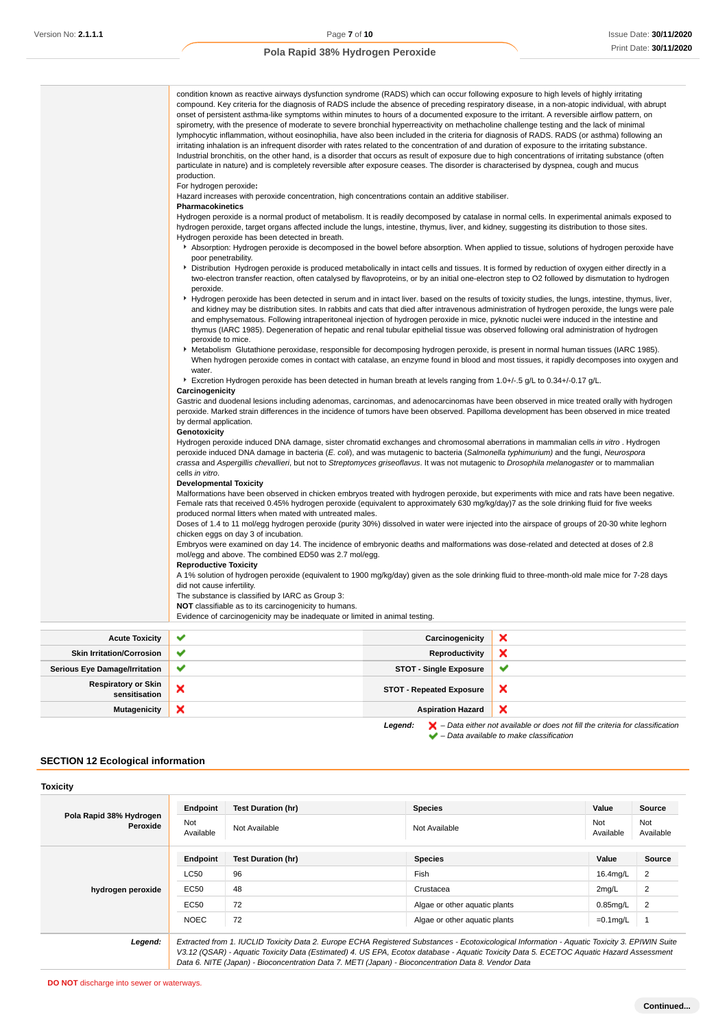|                       | condition known as reactive airways dysfunction syndrome (RADS) which can occur following exposure to high levels of highly irritating<br>compound. Key criteria for the diagnosis of RADS include the absence of preceding respiratory disease, in a non-atopic individual, with abrupt<br>onset of persistent asthma-like symptoms within minutes to hours of a documented exposure to the irritant. A reversible airflow pattern, on<br>spirometry, with the presence of moderate to severe bronchial hyperreactivity on methacholine challenge testing and the lack of minimal<br>lymphocytic inflammation, without eosinophilia, have also been included in the criteria for diagnosis of RADS. RADS (or asthma) following an<br>irritating inhalation is an infrequent disorder with rates related to the concentration of and duration of exposure to the irritating substance.<br>Industrial bronchitis, on the other hand, is a disorder that occurs as result of exposure due to high concentrations of irritating substance (often<br>particulate in nature) and is completely reversible after exposure ceases. The disorder is characterised by dyspnea, cough and mucus<br>production.<br>For hydrogen peroxide:<br>Hazard increases with peroxide concentration, high concentrations contain an additive stabiliser.<br>Pharmacokinetics<br>Hydrogen peroxide is a normal product of metabolism. It is readily decomposed by catalase in normal cells. In experimental animals exposed to<br>hydrogen peroxide, target organs affected include the lungs, intestine, thymus, liver, and kidney, suggesting its distribution to those sites.<br>Hydrogen peroxide has been detected in breath.<br>poor penetrability.<br>Distribution Hydrogen peroxide is produced metabolically in intact cells and tissues. It is formed by reduction of oxygen either directly in a<br>peroxide.<br>and emphysematous. Following intraperitoneal injection of hydrogen peroxide in mice, pyknotic nuclei were induced in the intestine and<br>thymus (IARC 1985). Degeneration of hepatic and renal tubular epithelial tissue was observed following oral administration of hydrogen<br>peroxide to mice.<br>▶ Metabolism Glutathione peroxidase, responsible for decomposing hydrogen peroxide, is present in normal human tissues (IARC 1985). |  | Absorption: Hydrogen peroxide is decomposed in the bowel before absorption. When applied to tissue, solutions of hydrogen peroxide have<br>two-electron transfer reaction, often catalysed by flavoproteins, or by an initial one-electron step to O2 followed by dismutation to hydrogen<br>Hydrogen peroxide has been detected in serum and in intact liver. based on the results of toxicity studies, the lungs, intestine, thymus, liver,<br>and kidney may be distribution sites. In rabbits and cats that died after intravenous administration of hydrogen peroxide, the lungs were pale |
|-----------------------|----------------------------------------------------------------------------------------------------------------------------------------------------------------------------------------------------------------------------------------------------------------------------------------------------------------------------------------------------------------------------------------------------------------------------------------------------------------------------------------------------------------------------------------------------------------------------------------------------------------------------------------------------------------------------------------------------------------------------------------------------------------------------------------------------------------------------------------------------------------------------------------------------------------------------------------------------------------------------------------------------------------------------------------------------------------------------------------------------------------------------------------------------------------------------------------------------------------------------------------------------------------------------------------------------------------------------------------------------------------------------------------------------------------------------------------------------------------------------------------------------------------------------------------------------------------------------------------------------------------------------------------------------------------------------------------------------------------------------------------------------------------------------------------------------------------------------------------------------------------------------------------------------------------------------------------------------------------------------------------------------------------------------------------------------------------------------------------------------------------------------------------------------------------------------------------------------------------------------------------------------------------------------------------------------------------------------------------------------|--|-------------------------------------------------------------------------------------------------------------------------------------------------------------------------------------------------------------------------------------------------------------------------------------------------------------------------------------------------------------------------------------------------------------------------------------------------------------------------------------------------------------------------------------------------------------------------------------------------|
|                       | water.<br>Excretion Hydrogen peroxide has been detected in human breath at levels ranging from 1.0+/-.5 g/L to 0.34+/-0.17 g/L.<br>Carcinogenicity<br>Gastric and duodenal lesions including adenomas, carcinomas, and adenocarcinomas have been observed in mice treated orally with hydrogen<br>peroxide. Marked strain differences in the incidence of tumors have been observed. Papilloma development has been observed in mice treated<br>by dermal application.                                                                                                                                                                                                                                                                                                                                                                                                                                                                                                                                                                                                                                                                                                                                                                                                                                                                                                                                                                                                                                                                                                                                                                                                                                                                                                                                                                                                                                                                                                                                                                                                                                                                                                                                                                                                                                                                             |  | When hydrogen peroxide comes in contact with catalase, an enzyme found in blood and most tissues, it rapidly decomposes into oxygen and                                                                                                                                                                                                                                                                                                                                                                                                                                                         |
|                       | Genotoxicity<br>Hydrogen peroxide induced DNA damage, sister chromatid exchanges and chromosomal aberrations in mammalian cells in vitro. Hydrogen<br>peroxide induced DNA damage in bacteria (E. coli), and was mutagenic to bacteria (Salmonella typhimurium) and the fungi, Neurospora<br>crassa and Aspergillis chevallieri, but not to Streptomyces griseoflavus. It was not mutagenic to Drosophila melanogaster or to mammalian<br>cells in vitro.                                                                                                                                                                                                                                                                                                                                                                                                                                                                                                                                                                                                                                                                                                                                                                                                                                                                                                                                                                                                                                                                                                                                                                                                                                                                                                                                                                                                                                                                                                                                                                                                                                                                                                                                                                                                                                                                                          |  |                                                                                                                                                                                                                                                                                                                                                                                                                                                                                                                                                                                                 |
|                       | <b>Developmental Toxicity</b><br>Malformations have been observed in chicken embryos treated with hydrogen peroxide, but experiments with mice and rats have been negative.<br>Female rats that received 0.45% hydrogen peroxide (equivalent to approximately 630 mg/kg/day)7 as the sole drinking fluid for five weeks<br>produced normal litters when mated with untreated males.<br>Doses of 1.4 to 11 mol/egg hydrogen peroxide (purity 30%) dissolved in water were injected into the airspace of groups of 20-30 white leghorn<br>chicken eggs on day 3 of incubation.<br>Embryos were examined on day 14. The incidence of embryonic deaths and malformations was dose-related and detected at doses of 2.8                                                                                                                                                                                                                                                                                                                                                                                                                                                                                                                                                                                                                                                                                                                                                                                                                                                                                                                                                                                                                                                                                                                                                                                                                                                                                                                                                                                                                                                                                                                                                                                                                                 |  |                                                                                                                                                                                                                                                                                                                                                                                                                                                                                                                                                                                                 |
|                       | mol/egg and above. The combined ED50 was 2.7 mol/egg.<br><b>Reproductive Toxicity</b><br>A 1% solution of hydrogen peroxide (equivalent to 1900 mg/kg/day) given as the sole drinking fluid to three-month-old male mice for 7-28 days<br>did not cause infertility.<br>The substance is classified by IARC as Group 3:<br>NOT classifiable as to its carcinogenicity to humans.<br>Evidence of carcinogenicity may be inadequate or limited in animal testing.                                                                                                                                                                                                                                                                                                                                                                                                                                                                                                                                                                                                                                                                                                                                                                                                                                                                                                                                                                                                                                                                                                                                                                                                                                                                                                                                                                                                                                                                                                                                                                                                                                                                                                                                                                                                                                                                                    |  |                                                                                                                                                                                                                                                                                                                                                                                                                                                                                                                                                                                                 |
| <b>Acute Toxicity</b> | ✔<br>×<br>Carcinogenicity                                                                                                                                                                                                                                                                                                                                                                                                                                                                                                                                                                                                                                                                                                                                                                                                                                                                                                                                                                                                                                                                                                                                                                                                                                                                                                                                                                                                                                                                                                                                                                                                                                                                                                                                                                                                                                                                                                                                                                                                                                                                                                                                                                                                                                                                                                                          |  |                                                                                                                                                                                                                                                                                                                                                                                                                                                                                                                                                                                                 |
|                       | $\overline{\phantom{a}}$                                                                                                                                                                                                                                                                                                                                                                                                                                                                                                                                                                                                                                                                                                                                                                                                                                                                                                                                                                                                                                                                                                                                                                                                                                                                                                                                                                                                                                                                                                                                                                                                                                                                                                                                                                                                                                                                                                                                                                                                                                                                                                                                                                                                                                                                                                                           |  | $\mathbf{A}$                                                                                                                                                                                                                                                                                                                                                                                                                                                                                                                                                                                    |

| <b>ACULC IVAILITY</b>                       |                           | <b>Valuation</b>                | $\sim$                                                                                             |
|---------------------------------------------|---------------------------|---------------------------------|----------------------------------------------------------------------------------------------------|
| <b>Skin Irritation/Corrosion</b>            | $\checkmark$              | Reproductivity                  |                                                                                                    |
| <b>Serious Eye Damage/Irritation</b>        | $\checkmark$              | <b>STOT - Single Exposure</b>   | w                                                                                                  |
| <b>Respiratory or Skin</b><br>sensitisation | ×                         | <b>STOT - Repeated Exposure</b> | ×                                                                                                  |
| <b>Mutagenicity</b>                         | $\boldsymbol{\mathsf{x}}$ | <b>Aspiration Hazard</b>        |                                                                                                    |
|                                             |                           | Legend:                         | $\blacktriangleright$ - Data either not available or does not fill the criteria for classification |

 $\blacktriangleright$  – Data available to make classification

**SECTION 12 Ecological information**

| <b>Toxicity</b>                     |                         |                                                                                                                                                                                                                                                                                                                                                                                                 |                               |                  |                  |
|-------------------------------------|-------------------------|-------------------------------------------------------------------------------------------------------------------------------------------------------------------------------------------------------------------------------------------------------------------------------------------------------------------------------------------------------------------------------------------------|-------------------------------|------------------|------------------|
|                                     | Endpoint                | <b>Test Duration (hr)</b>                                                                                                                                                                                                                                                                                                                                                                       | <b>Species</b>                | Value            | Source           |
| Pola Rapid 38% Hydrogen<br>Peroxide | <b>Not</b><br>Available | Not Available                                                                                                                                                                                                                                                                                                                                                                                   | Not Available                 | Not<br>Available | Not<br>Available |
|                                     | Endpoint                | <b>Test Duration (hr)</b>                                                                                                                                                                                                                                                                                                                                                                       | <b>Species</b>                | Value            | Source           |
|                                     | LC50                    | 96                                                                                                                                                                                                                                                                                                                                                                                              | Fish                          | 16.4mg/L         | 2                |
| hydrogen peroxide                   | EC50                    | 48                                                                                                                                                                                                                                                                                                                                                                                              | Crustacea                     | 2mq/L            | $\overline{2}$   |
|                                     | EC50                    | 72                                                                                                                                                                                                                                                                                                                                                                                              | Algae or other aguatic plants | $0.85$ mg/L      | $\overline{2}$   |
|                                     | <b>NOEC</b>             | 72                                                                                                                                                                                                                                                                                                                                                                                              | Algae or other aguatic plants | $=0.1$ mg/L      |                  |
| Legend:                             |                         | Extracted from 1. IUCLID Toxicity Data 2. Europe ECHA Registered Substances - Ecotoxicological Information - Aquatic Toxicity 3. EPIWIN Suite<br>V3.12 (QSAR) - Aquatic Toxicity Data (Estimated) 4. US EPA, Ecotox database - Aquatic Toxicity Data 5. ECETOC Aquatic Hazard Assessment<br>Data 6. NITE (Japan) - Bioconcentration Data 7. METI (Japan) - Bioconcentration Data 8. Vendor Data |                               |                  |                  |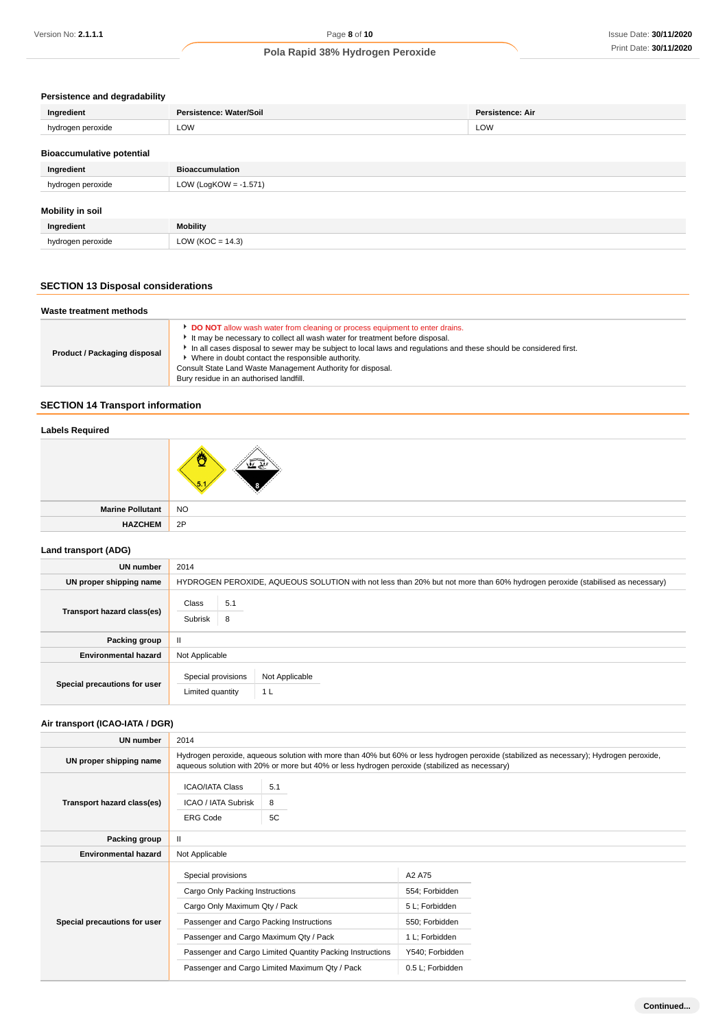### **Persistence and degradability**

| Ingredient                       | Persistence: Water/Soil  | Persistence: Air |
|----------------------------------|--------------------------|------------------|
| hydrogen peroxide                | LOW                      | LOW              |
| <b>Bioaccumulative potential</b> |                          |                  |
| Ingredient                       | <b>Bioaccumulation</b>   |                  |
| hydrogen peroxide                | LOW (LogKOW = $-1.571$ ) |                  |
| <b>Mobility in soil</b>          |                          |                  |

| Ingredient        | <b>Mobility</b>      |
|-------------------|----------------------|
| hydrogen peroxide | LOW ( $KOC = 14.3$ ) |

# **SECTION 13 Disposal considerations**

| Waste treatment methods      |                                                                                                                                                                                                                                                                                                                                                                                                                                                 |  |
|------------------------------|-------------------------------------------------------------------------------------------------------------------------------------------------------------------------------------------------------------------------------------------------------------------------------------------------------------------------------------------------------------------------------------------------------------------------------------------------|--|
| Product / Packaging disposal | DO NOT allow wash water from cleaning or process equipment to enter drains.<br>It may be necessary to collect all wash water for treatment before disposal.<br>In all cases disposal to sewer may be subject to local laws and requlations and these should be considered first.<br>Where in doubt contact the responsible authority.<br>Consult State Land Waste Management Authority for disposal.<br>Bury residue in an authorised landfill. |  |

# **SECTION 14 Transport information**

### **Labels Required**

| NC |  |
|----|--|

| <b>Marine Pollutant</b> | <b>NO</b> |
|-------------------------|-----------|
| <b>HAZCHEM</b>          | 2P        |
|                         |           |

### **Land transport (ADG)**

| <b>UN number</b>             | 2014                                                                                                                         |  |  |
|------------------------------|------------------------------------------------------------------------------------------------------------------------------|--|--|
| UN proper shipping name      | HYDROGEN PEROXIDE, AQUEOUS SOLUTION with not less than 20% but not more than 60% hydrogen peroxide (stabilised as necessary) |  |  |
| Transport hazard class(es)   | Class<br>5.1<br>Subrisk<br>8                                                                                                 |  |  |
| Packing group                | $\mathbf{H}$                                                                                                                 |  |  |
| <b>Environmental hazard</b>  | Not Applicable                                                                                                               |  |  |
| Special precautions for user | Special provisions<br>Not Applicable<br>Limited quantity<br>1 <sub>L</sub>                                                   |  |  |

# **Air transport (ICAO-IATA / DGR)**

| <b>UN number</b>             | 2014                                                                                                                                                                                                                                    |                |                  |  |  |
|------------------------------|-----------------------------------------------------------------------------------------------------------------------------------------------------------------------------------------------------------------------------------------|----------------|------------------|--|--|
| UN proper shipping name      | Hydrogen peroxide, aqueous solution with more than 40% but 60% or less hydrogen peroxide (stabilized as necessary); Hydrogen peroxide,<br>aqueous solution with 20% or more but 40% or less hydrogen peroxide (stabilized as necessary) |                |                  |  |  |
| Transport hazard class(es)   | <b>ICAO/IATA Class</b><br>ICAO / IATA Subrisk<br><b>ERG Code</b>                                                                                                                                                                        | 5.1<br>8<br>5C |                  |  |  |
| Packing group                | $\mathbf{H}$                                                                                                                                                                                                                            |                |                  |  |  |
| <b>Environmental hazard</b>  | Not Applicable                                                                                                                                                                                                                          |                |                  |  |  |
|                              | Special provisions                                                                                                                                                                                                                      |                | A2 A75           |  |  |
|                              | Cargo Only Packing Instructions                                                                                                                                                                                                         |                | 554; Forbidden   |  |  |
|                              | Cargo Only Maximum Qty / Pack                                                                                                                                                                                                           |                | 5 L; Forbidden   |  |  |
| Special precautions for user | Passenger and Cargo Packing Instructions                                                                                                                                                                                                |                | 550; Forbidden   |  |  |
|                              | Passenger and Cargo Maximum Qty / Pack                                                                                                                                                                                                  |                | 1 L; Forbidden   |  |  |
|                              | Passenger and Cargo Limited Quantity Packing Instructions                                                                                                                                                                               |                | Y540; Forbidden  |  |  |
|                              | Passenger and Cargo Limited Maximum Qty / Pack                                                                                                                                                                                          |                | 0.5 L; Forbidden |  |  |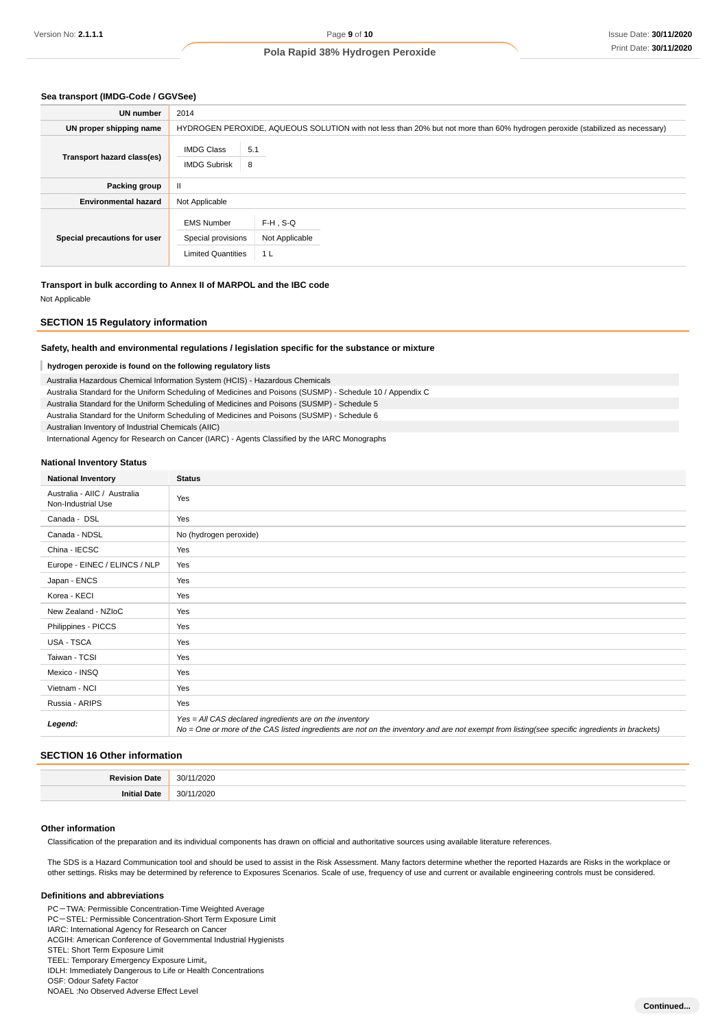#### **Sea transport (IMDG-Code / GGVSee)**

| <b>UN number</b>             | 2014                                                                                                                         |                                             |  |
|------------------------------|------------------------------------------------------------------------------------------------------------------------------|---------------------------------------------|--|
| UN proper shipping name      | HYDROGEN PEROXIDE, AQUEOUS SOLUTION with not less than 20% but not more than 60% hydrogen peroxide (stabilized as necessary) |                                             |  |
| Transport hazard class(es)   | <b>IMDG Class</b><br><b>IMDG Subrisk</b>                                                                                     | 5.1<br>8                                    |  |
| Packing group                | $\mathbf{I}$                                                                                                                 |                                             |  |
| <b>Environmental hazard</b>  | Not Applicable                                                                                                               |                                             |  |
| Special precautions for user | <b>EMS Number</b><br>Special provisions<br><b>Limited Quantities</b>                                                         | F-H.S-Q<br>Not Applicable<br>1 <sub>L</sub> |  |

**Transport in bulk according to Annex II of MARPOL and the IBC code**

Not Applicable

### **SECTION 15 Regulatory information**

#### **Safety, health and environmental regulations / legislation specific for the substance or mixture**

### **hydrogen peroxide is found on the following regulatory lists**

Australia Hazardous Chemical Information System (HCIS) - Hazardous Chemicals Australia Standard for the Uniform Scheduling of Medicines and Poisons (SUSMP) - Schedule 10 / Appendix C Australia Standard for the Uniform Scheduling of Medicines and Poisons (SUSMP) - Schedule 5

Australia Standard for the Uniform Scheduling of Medicines and Poisons (SUSMP) - Schedule 6

Australian Inventory of Industrial Chemicals (AIIC)

International Agency for Research on Cancer (IARC) - Agents Classified by the IARC Monographs

#### **National Inventory Status**

| <b>National Inventory</b>                          | <b>Status</b>                                                                                                                                                                                            |
|----------------------------------------------------|----------------------------------------------------------------------------------------------------------------------------------------------------------------------------------------------------------|
| Australia - AIIC / Australia<br>Non-Industrial Use | Yes                                                                                                                                                                                                      |
| Canada - DSL                                       | Yes                                                                                                                                                                                                      |
| Canada - NDSL                                      | No (hydrogen peroxide)                                                                                                                                                                                   |
| China - IECSC                                      | Yes                                                                                                                                                                                                      |
| Europe - EINEC / ELINCS / NLP                      | Yes                                                                                                                                                                                                      |
| Japan - ENCS                                       | Yes                                                                                                                                                                                                      |
| Korea - KECI                                       | Yes                                                                                                                                                                                                      |
| New Zealand - NZIoC                                | Yes                                                                                                                                                                                                      |
| Philippines - PICCS                                | Yes                                                                                                                                                                                                      |
| USA - TSCA                                         | Yes                                                                                                                                                                                                      |
| Taiwan - TCSI                                      | Yes                                                                                                                                                                                                      |
| Mexico - INSQ                                      | Yes                                                                                                                                                                                                      |
| Vietnam - NCI                                      | Yes                                                                                                                                                                                                      |
| Russia - ARIPS                                     | Yes                                                                                                                                                                                                      |
| Legend:                                            | Yes = All CAS declared ingredients are on the inventory<br>No = One or more of the CAS listed ingredients are not on the inventory and are not exempt from listing(see specific ingredients in brackets) |

### **SECTION 16 Other information**

| з. | 30/1<br>10000<br>7202C<br>.      |
|----|----------------------------------|
|    | 30/1<br>1000<br>ʻZUZU<br>ັັ<br>. |

### **Other information**

Classification of the preparation and its individual components has drawn on official and authoritative sources using available literature references.

The SDS is a Hazard Communication tool and should be used to assist in the Risk Assessment. Many factors determine whether the reported Hazards are Risks in the workplace or other settings. Risks may be determined by reference to Exposures Scenarios. Scale of use, frequency of use and current or available engineering controls must be considered.

#### **Definitions and abbreviations**

PC-TWA: Permissible Concentration-Time Weighted Average

PC-STEL: Permissible Concentration-Short Term Exposure Limit

IARC: International Agency for Research on Cancer

ACGIH: American Conference of Governmental Industrial Hygienists STEL: Short Term Exposure Limit

TEEL: Temporary Emergency Exposure Limit。

IDLH: Immediately Dangerous to Life or Health Concentrations

OSF: Odour Safety Factor NOAEL :No Observed Adverse Effect Level